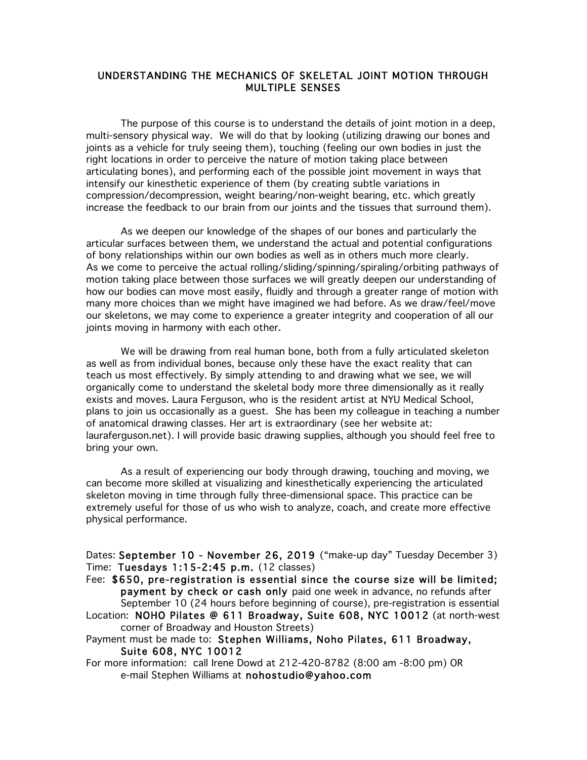## UNDERSTANDING THE MECHANICS OF SKELETAL JOINT MOTION THROUGH MULTIPLE SENSES

The purpose of this course is to understand the details of joint motion in a deep, multi-sensory physical way. We will do that by looking (utilizing drawing our bones and joints as a vehicle for truly seeing them), touching (feeling our own bodies in just the right locations in order to perceive the nature of motion taking place between articulating bones), and performing each of the possible joint movement in ways that intensify our kinesthetic experience of them (by creating subtle variations in compression/decompression, weight bearing/non-weight bearing, etc. which greatly increase the feedback to our brain from our joints and the tissues that surround them).

As we deepen our knowledge of the shapes of our bones and particularly the articular surfaces between them, we understand the actual and potential configurations of bony relationships within our own bodies as well as in others much more clearly. As we come to perceive the actual rolling/sliding/spinning/spiraling/orbiting pathways of motion taking place between those surfaces we will greatly deepen our understanding of how our bodies can move most easily, fluidly and through a greater range of motion with many more choices than we might have imagined we had before. As we draw/feel/move our skeletons, we may come to experience a greater integrity and cooperation of all our joints moving in harmony with each other.

We will be drawing from real human bone, both from a fully articulated skeleton as well as from individual bones, because only these have the exact reality that can teach us most effectively. By simply attending to and drawing what we see, we will organically come to understand the skeletal body more three dimensionally as it really exists and moves. Laura Ferguson, who is the resident artist at NYU Medical School, plans to join us occasionally as a guest. She has been my colleague in teaching a number of anatomical drawing classes. Her art is extraordinary (see her website at: lauraferguson.net). I will provide basic drawing supplies, although you should feel free to bring your own.

As a result of experiencing our body through drawing, touching and moving, we can become more skilled at visualizing and kinesthetically experiencing the articulated skeleton moving in time through fully three-dimensional space. This practice can be extremely useful for those of us who wish to analyze, coach, and create more effective physical performance.

Dates: September 10 - November 26, 2019 ("make-up day" Tuesday December 3) Time: Tuesdays 1:15-2:45 p.m. (12 classes)

- Fee: \$650, pre-registration is essential since the course size will be limited; payment by check or cash only paid one week in advance, no refunds after September 10 (24 hours before beginning of course), pre-registration is essential
- Location: NOHO Pilates @ 611 Broadway, Suite 608, NYC 10012 (at north-west corner of Broadway and Houston Streets)

Payment must be made to: Stephen Williams, Noho Pilates, 611 Broadway, Suite 608, NYC 10012

For more information: call Irene Dowd at 212-420-8782 (8:00 am -8:00 pm) OR e-mail Stephen Williams at nohostudio@yahoo.com